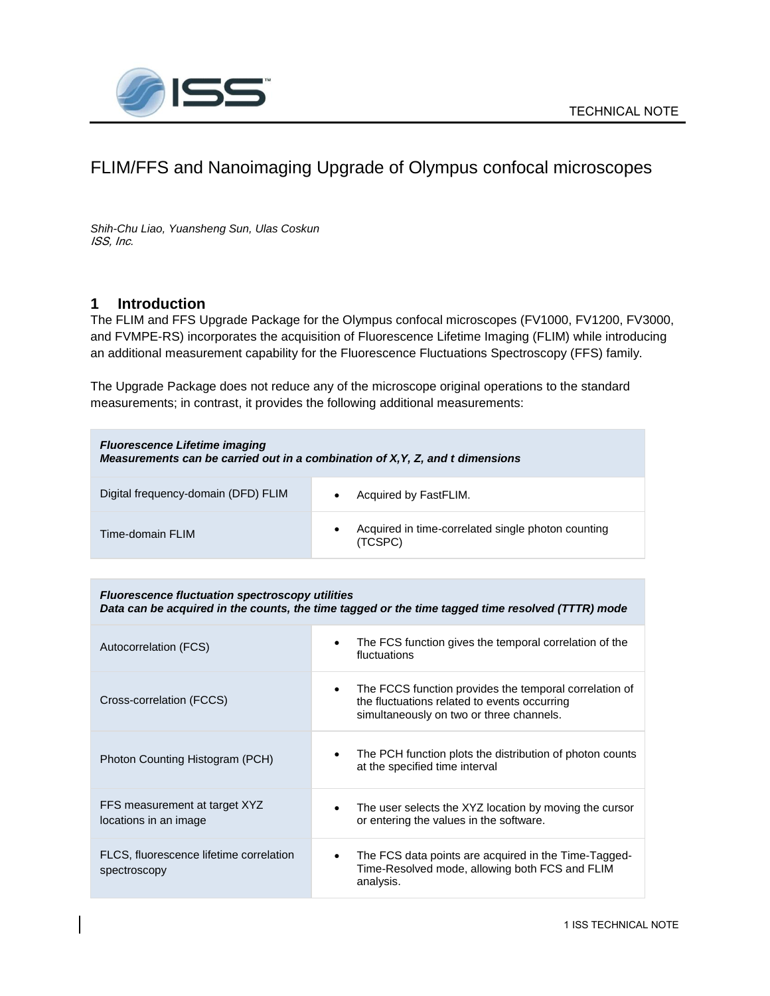

# FLIM/FFS and Nanoimaging Upgrade of Olympus confocal microscopes

*Shih-Chu Liao, Yuansheng Sun, Ulas Coskun* ISS, Inc.

### **1 Introduction**

The FLIM and FFS Upgrade Package for the Olympus confocal microscopes (FV1000, FV1200, FV3000, and FVMPE-RS) incorporates the acquisition of Fluorescence Lifetime Imaging (FLIM) while introducing an additional measurement capability for the Fluorescence Fluctuations Spectroscopy (FFS) family.

The Upgrade Package does not reduce any of the microscope original operations to the standard measurements; in contrast, it provides the following additional measurements:

| <b>Fluorescence Lifetime imaging</b><br>Measurements can be carried out in a combination of X, Y, Z, and t dimensions |                                                               |  |
|-----------------------------------------------------------------------------------------------------------------------|---------------------------------------------------------------|--|
| Digital frequency-domain (DFD) FLIM                                                                                   | Acquired by FastFLIM.                                         |  |
| Time-domain FLIM                                                                                                      | Acquired in time-correlated single photon counting<br>(TCSPC) |  |

*Fluorescence fluctuation spectroscopy utilities Data can be acquired in the counts, the time tagged or the time tagged time resolved (TTTR) mode*

| Autocorrelation (FCS)                                   | The FCS function gives the temporal correlation of the<br>fluctuations                                                                             |
|---------------------------------------------------------|----------------------------------------------------------------------------------------------------------------------------------------------------|
| Cross-correlation (FCCS)                                | The FCCS function provides the temporal correlation of<br>the fluctuations related to events occurring<br>simultaneously on two or three channels. |
| Photon Counting Histogram (PCH)                         | The PCH function plots the distribution of photon counts<br>at the specified time interval                                                         |
| FFS measurement at target XYZ<br>locations in an image  | The user selects the XYZ location by moving the cursor<br>$\bullet$<br>or entering the values in the software.                                     |
| FLCS, fluorescence lifetime correlation<br>spectroscopy | The FCS data points are acquired in the Time-Tagged-<br>٠<br>Time-Resolved mode, allowing both FCS and FLIM<br>analysis.                           |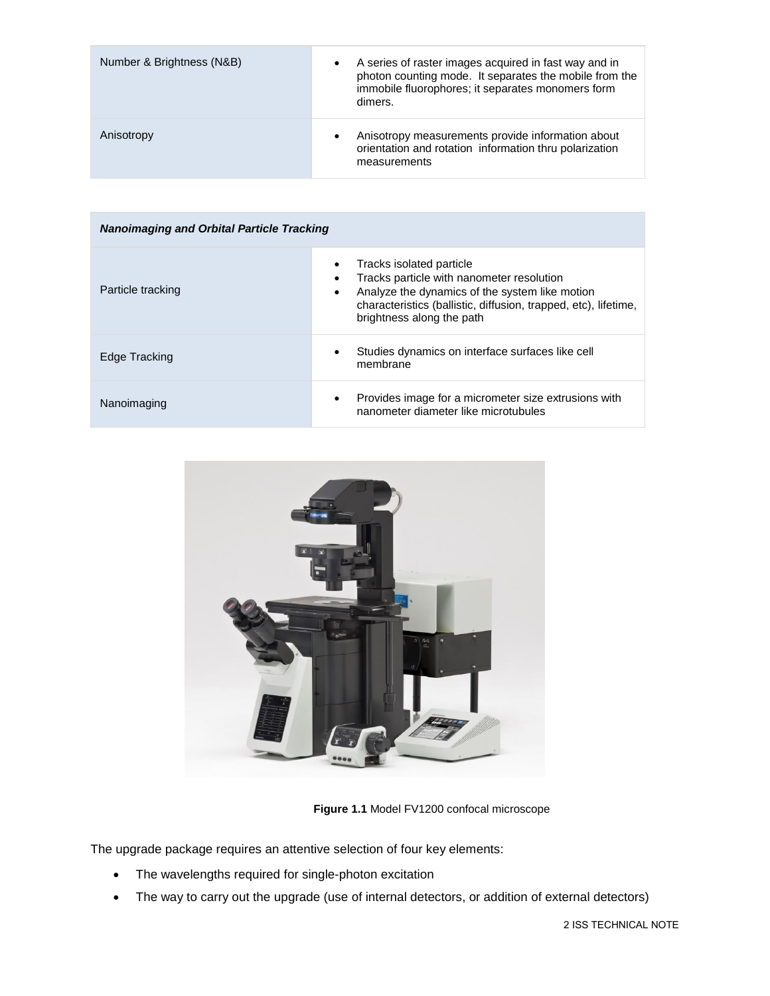| Number & Brightness (N&B) | A series of raster images acquired in fast way and in<br>$\bullet$<br>photon counting mode. It separates the mobile from the<br>immobile fluorophores; it separates monomers form<br>dimers. |
|---------------------------|----------------------------------------------------------------------------------------------------------------------------------------------------------------------------------------------|
| Anisotropy                | Anisotropy measurements provide information about<br>$\bullet$<br>orientation and rotation information thru polarization<br>measurements                                                     |

| <b>Nanoimaging and Orbital Particle Tracking</b> |                                                                                                                                                                                                                         |  |
|--------------------------------------------------|-------------------------------------------------------------------------------------------------------------------------------------------------------------------------------------------------------------------------|--|
| Particle tracking                                | Tracks isolated particle<br>Tracks particle with nanometer resolution<br>Analyze the dynamics of the system like motion<br>characteristics (ballistic, diffusion, trapped, etc), lifetime,<br>brightness along the path |  |
| Edge Tracking                                    | Studies dynamics on interface surfaces like cell<br>membrane                                                                                                                                                            |  |
| Nanoimaging                                      | Provides image for a micrometer size extrusions with<br>nanometer diameter like microtubules                                                                                                                            |  |



**Figure 1.1** Model FV1200 confocal microscope

The upgrade package requires an attentive selection of four key elements:

- The wavelengths required for single-photon excitation
- The way to carry out the upgrade (use of internal detectors, or addition of external detectors)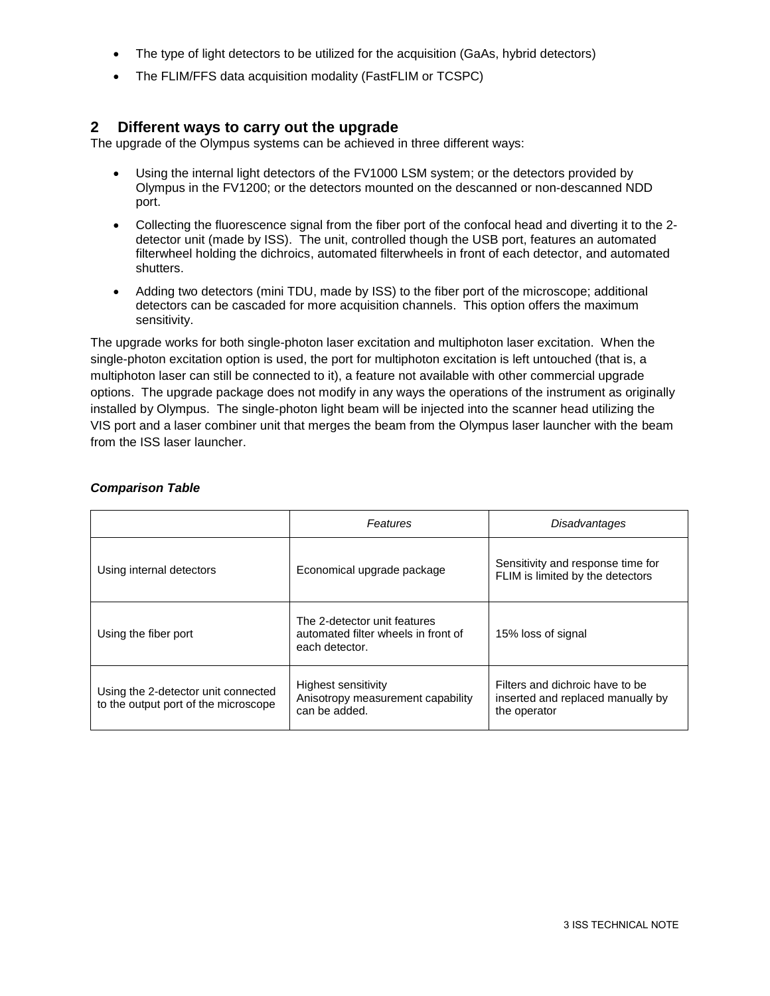- The type of light detectors to be utilized for the acquisition (GaAs, hybrid detectors)
- The FLIM/FFS data acquisition modality (FastFLIM or TCSPC)

#### **2 Different ways to carry out the upgrade**

The upgrade of the Olympus systems can be achieved in three different ways:

- Using the internal light detectors of the FV1000 LSM system; or the detectors provided by Olympus in the FV1200; or the detectors mounted on the descanned or non-descanned NDD port.
- Collecting the fluorescence signal from the fiber port of the confocal head and diverting it to the 2 detector unit (made by ISS). The unit, controlled though the USB port, features an automated filterwheel holding the dichroics, automated filterwheels in front of each detector, and automated shutters.
- Adding two detectors (mini TDU, made by ISS) to the fiber port of the microscope; additional detectors can be cascaded for more acquisition channels. This option offers the maximum sensitivity.

The upgrade works for both single-photon laser excitation and multiphoton laser excitation. When the single-photon excitation option is used, the port for multiphoton excitation is left untouched (that is, a multiphoton laser can still be connected to it), a feature not available with other commercial upgrade options. The upgrade package does not modify in any ways the operations of the instrument as originally installed by Olympus. The single-photon light beam will be injected into the scanner head utilizing the VIS port and a laser combiner unit that merges the beam from the Olympus laser launcher with the beam from the ISS laser launcher.

|                                                                             | Features                                                                              | Disadvantages                                                                        |
|-----------------------------------------------------------------------------|---------------------------------------------------------------------------------------|--------------------------------------------------------------------------------------|
| Using internal detectors                                                    | Economical upgrade package                                                            | Sensitivity and response time for<br>FLIM is limited by the detectors                |
| Using the fiber port                                                        | The 2-detector unit features<br>automated filter wheels in front of<br>each detector. | 15% loss of signal                                                                   |
| Using the 2-detector unit connected<br>to the output port of the microscope | Highest sensitivity<br>Anisotropy measurement capability<br>can be added.             | Filters and dichroic have to be<br>inserted and replaced manually by<br>the operator |

#### *Comparison Table*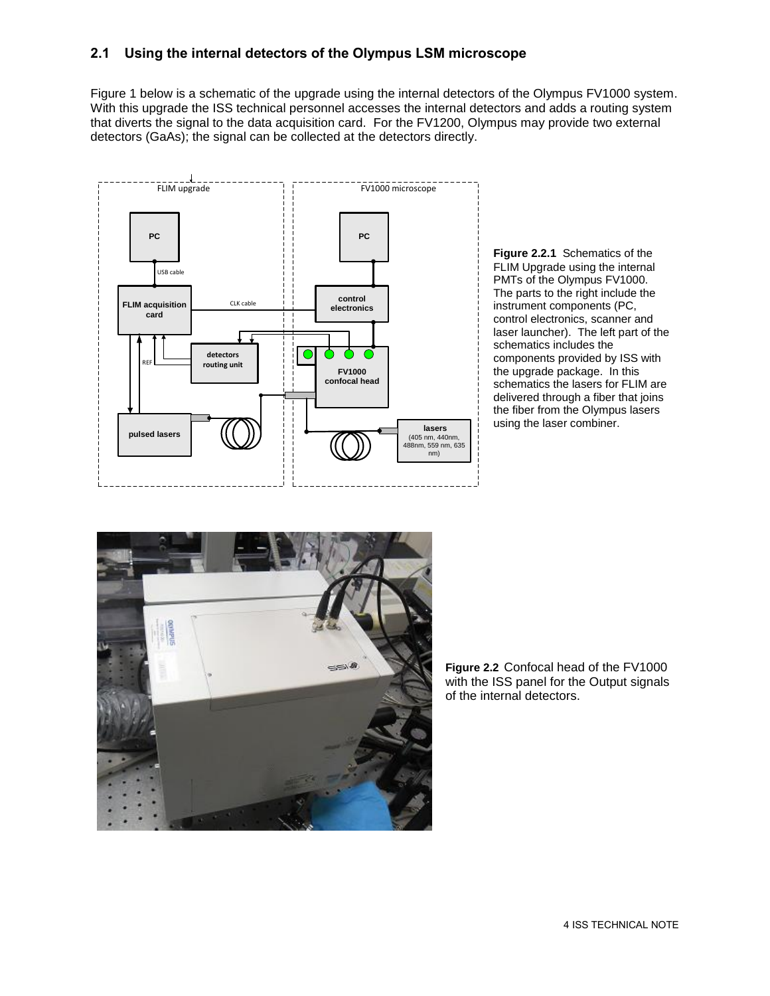### **2.1 Using the internal detectors of the Olympus LSM microscope**

Figure 1 below is a schematic of the upgrade using the internal detectors of the Olympus FV1000 system. With this upgrade the ISS technical personnel accesses the internal detectors and adds a routing system that diverts the signal to the data acquisition card. For the FV1200, Olympus may provide two external detectors (GaAs); the signal can be collected at the detectors directly.



**Figure 2.2.1** Schematics of the FLIM Upgrade using the internal PMTs of the Olympus FV1000. The parts to the right include the instrument components (PC, control electronics, scanner and laser launcher). The left part of the schematics includes the components provided by ISS with the upgrade package. In this schematics the lasers for FLIM are delivered through a fiber that joins the fiber from the Olympus lasers using the laser combiner.



**Figure 2.2** Confocal head of the FV1000 with the ISS panel for the Output signals of the internal detectors.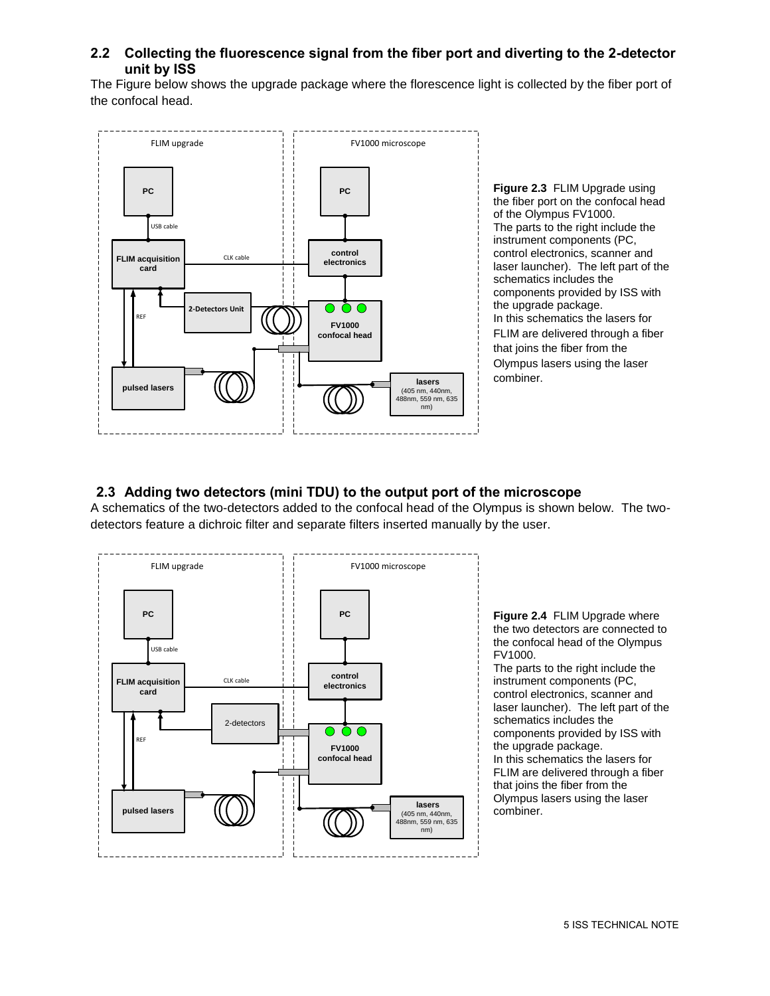#### **2.2 Collecting the fluorescence signal from the fiber port and diverting to the 2-detector unit by ISS**

The Figure below shows the upgrade package where the florescence light is collected by the fiber port of the confocal head.



**Figure 2.3** FLIM Upgrade using the fiber port on the confocal head of the Olympus FV1000. The parts to the right include the instrument components (PC, control electronics, scanner and laser launcher). The left part of the schematics includes the components provided by ISS with the upgrade package. In this schematics the lasers for FLIM are delivered through a fiber that joins the fiber from the Olympus lasers using the laser combiner.

#### **2.3 Adding two detectors (mini TDU) to the output port of the microscope**

A schematics of the two-detectors added to the confocal head of the Olympus is shown below. The twodetectors feature a dichroic filter and separate filters inserted manually by the user.



**Figure 2.4** FLIM Upgrade where the two detectors are connected to the confocal head of the Olympus

The parts to the right include the instrument components (PC, control electronics, scanner and laser launcher). The left part of the schematics includes the components provided by ISS with the upgrade package. In this schematics the lasers for FLIM are delivered through a fiber that joins the fiber from the Olympus lasers using the laser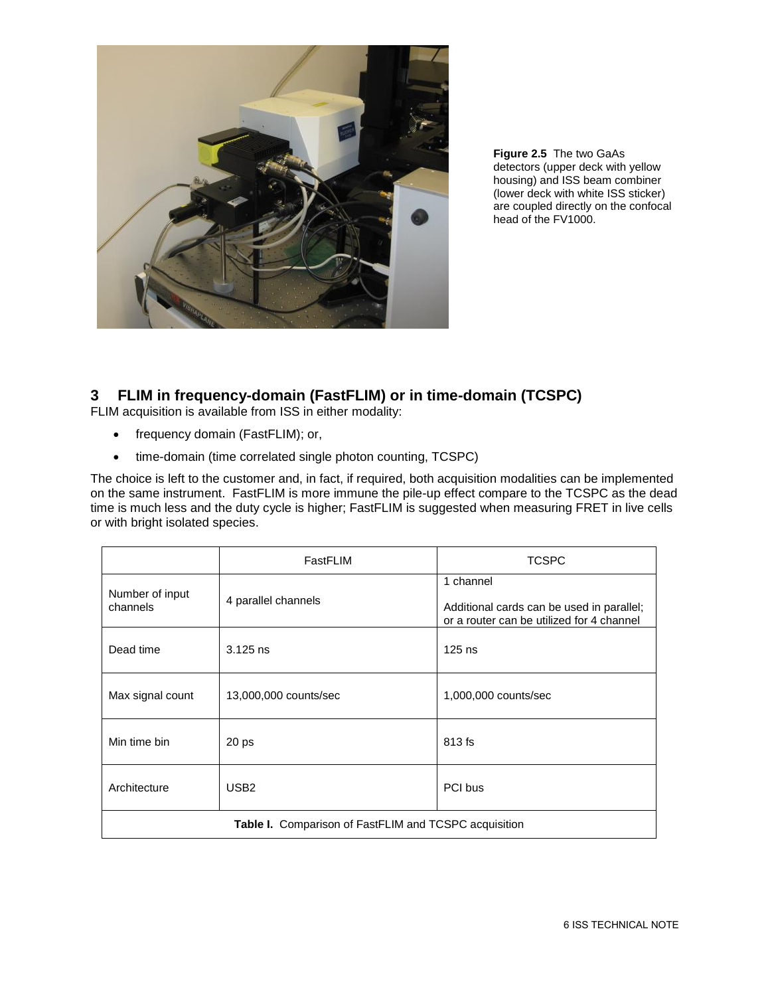

**Figure 2.5** The two GaAs detectors (upper deck with yellow housing) and ISS beam combiner (lower deck with white ISS sticker) are coupled directly on the confocal head of the FV1000.

## **3 FLIM in frequency-domain (FastFLIM) or in time-domain (TCSPC)**

FLIM acquisition is available from ISS in either modality:

- frequency domain (FastFLIM); or,
- time-domain (time correlated single photon counting, TCSPC)

The choice is left to the customer and, in fact, if required, both acquisition modalities can be implemented on the same instrument. FastFLIM is more immune the pile-up effect compare to the TCSPC as the dead time is much less and the duty cycle is higher; FastFLIM is suggested when measuring FRET in live cells or with bright isolated species.

|                                                              | FastFLIM              | <b>TCSPC</b>                                                                                        |
|--------------------------------------------------------------|-----------------------|-----------------------------------------------------------------------------------------------------|
| Number of input<br>channels                                  | 4 parallel channels   | 1 channel<br>Additional cards can be used in parallel;<br>or a router can be utilized for 4 channel |
| Dead time                                                    | $3.125$ ns            | $125$ ns                                                                                            |
| Max signal count                                             | 13,000,000 counts/sec | 1,000,000 counts/sec                                                                                |
| Min time bin                                                 | 20 <sub>ps</sub>      | 813 fs                                                                                              |
| Architecture                                                 | USB <sub>2</sub>      | PCI bus                                                                                             |
| <b>Table I.</b> Comparison of FastFLIM and TCSPC acquisition |                       |                                                                                                     |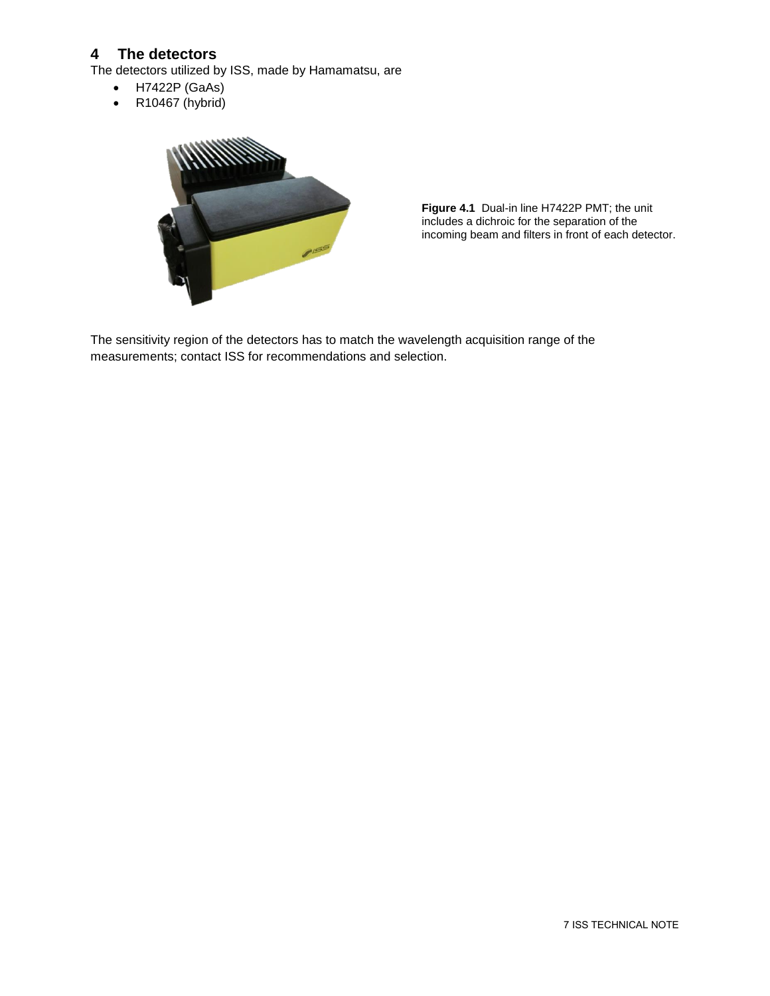## **4 The detectors**

The detectors utilized by ISS, made by Hamamatsu, are

- H7422P (GaAs)
- R10467 (hybrid)



**Figure 4.1** Dual-in line H7422P PMT; the unit includes a dichroic for the separation of the incoming beam and filters in front of each detector.

The sensitivity region of the detectors has to match the wavelength acquisition range of the measurements; contact ISS for recommendations and selection.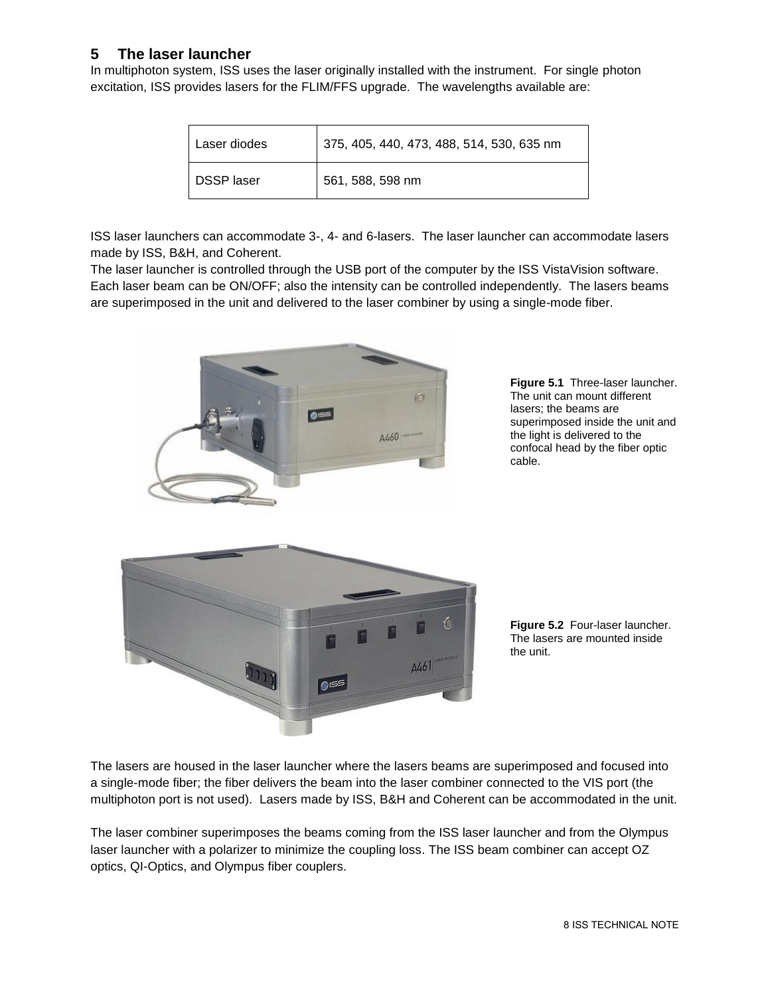## **5 The laser launcher**

In multiphoton system, ISS uses the laser originally installed with the instrument. For single photon excitation, ISS provides lasers for the FLIM/FFS upgrade. The wavelengths available are:

| Laser diodes      | 375, 405, 440, 473, 488, 514, 530, 635 nm |
|-------------------|-------------------------------------------|
| <b>DSSP</b> laser | 561, 588, 598 nm                          |

ISS laser launchers can accommodate 3-, 4- and 6-lasers. The laser launcher can accommodate lasers made by ISS, B&H, and Coherent.

The laser launcher is controlled through the USB port of the computer by the ISS VistaVision software. Each laser beam can be ON/OFF; also the intensity can be controlled independently. The lasers beams are superimposed in the unit and delivered to the laser combiner by using a single-mode fiber.



**Figure 5.1** Three-laser launcher. The unit can mount different lasers; the beams are superimposed inside the unit and the light is delivered to the confocal head by the fiber optic cable.



**Figure 5.2** Four-laser launcher. The lasers are mounted inside the unit.

The lasers are housed in the laser launcher where the lasers beams are superimposed and focused into a single-mode fiber; the fiber delivers the beam into the laser combiner connected to the VIS port (the multiphoton port is not used). Lasers made by ISS, B&H and Coherent can be accommodated in the unit.

The laser combiner superimposes the beams coming from the ISS laser launcher and from the Olympus laser launcher with a polarizer to minimize the coupling loss. The ISS beam combiner can accept OZ optics, QI-Optics, and Olympus fiber couplers.